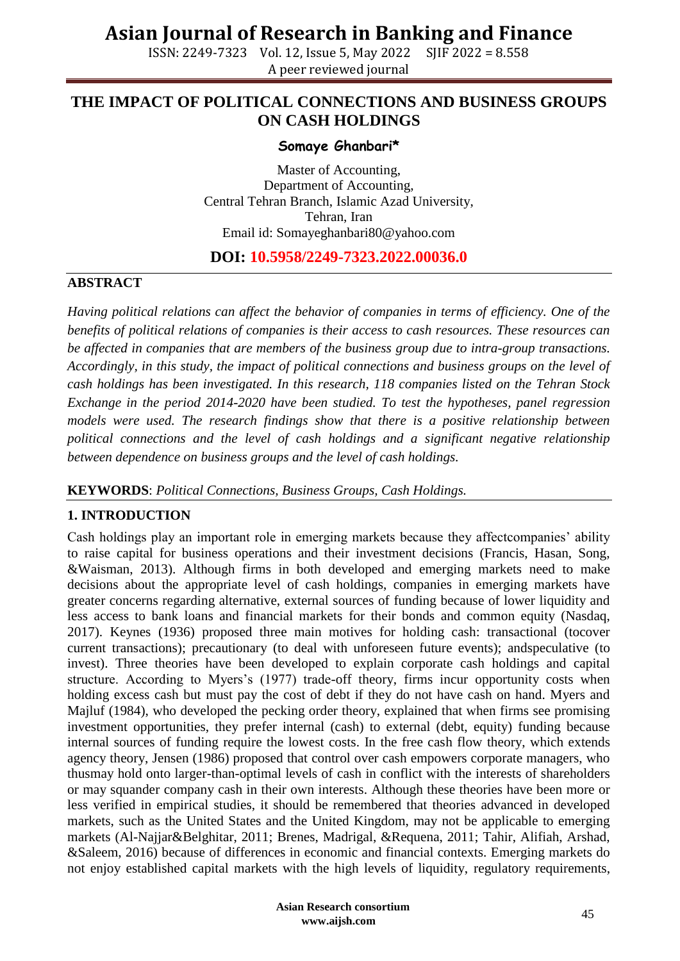ISSN: 2249-7323 Vol. 12, Issue 5, May 2022 SJIF 2022 = 8.558 A peer reviewed journal

## **THE IMPACT OF POLITICAL CONNECTIONS AND BUSINESS GROUPS ON CASH HOLDINGS**

#### **Somaye Ghanbari\***

Master of Accounting, Department of Accounting, Central Tehran Branch, Islamic Azad University, Tehran, Iran Email id: Somayeghanbari80@yahoo.com

## **DOI: 10.5958/2249-7323.2022.00036.0**

#### **ABSTRACT**

*Having political relations can affect the behavior of companies in terms of efficiency. One of the benefits of political relations of companies is their access to cash resources. These resources can be affected in companies that are members of the business group due to intra-group transactions. Accordingly, in this study, the impact of political connections and business groups on the level of cash holdings has been investigated. In this research, 118 companies listed on the Tehran Stock Exchange in the period 2014-2020 have been studied. To test the hypotheses, panel regression models were used. The research findings show that there is a positive relationship between political connections and the level of cash holdings and a significant negative relationship between dependence on business groups and the level of cash holdings.* 

#### **KEYWORDS**: *Political Connections, Business Groups, Cash Holdings.*

#### **1. INTRODUCTION**

Cash holdings play an important role in emerging markets because they affectcompanies' ability to raise capital for business operations and their investment decisions (Francis, Hasan, Song, &Waisman, 2013). Although firms in both developed and emerging markets need to make decisions about the appropriate level of cash holdings, companies in emerging markets have greater concerns regarding alternative, external sources of funding because of lower liquidity and less access to bank loans and financial markets for their bonds and common equity (Nasdaq, 2017). Keynes (1936) proposed three main motives for holding cash: transactional (tocover current transactions); precautionary (to deal with unforeseen future events); andspeculative (to invest). Three theories have been developed to explain corporate cash holdings and capital structure. According to Myers's (1977) trade-off theory, firms incur opportunity costs when holding excess cash but must pay the cost of debt if they do not have cash on hand. Myers and Majluf (1984), who developed the pecking order theory, explained that when firms see promising investment opportunities, they prefer internal (cash) to external (debt, equity) funding because internal sources of funding require the lowest costs. In the free cash flow theory, which extends agency theory, Jensen (1986) proposed that control over cash empowers corporate managers, who thusmay hold onto larger-than-optimal levels of cash in conflict with the interests of shareholders or may squander company cash in their own interests. Although these theories have been more or less verified in empirical studies, it should be remembered that theories advanced in developed markets, such as the United States and the United Kingdom, may not be applicable to emerging markets (Al-Najjar&Belghitar, 2011; Brenes, Madrigal, &Requena, 2011; Tahir, Alifiah, Arshad, &Saleem, 2016) because of differences in economic and financial contexts. Emerging markets do not enjoy established capital markets with the high levels of liquidity, regulatory requirements,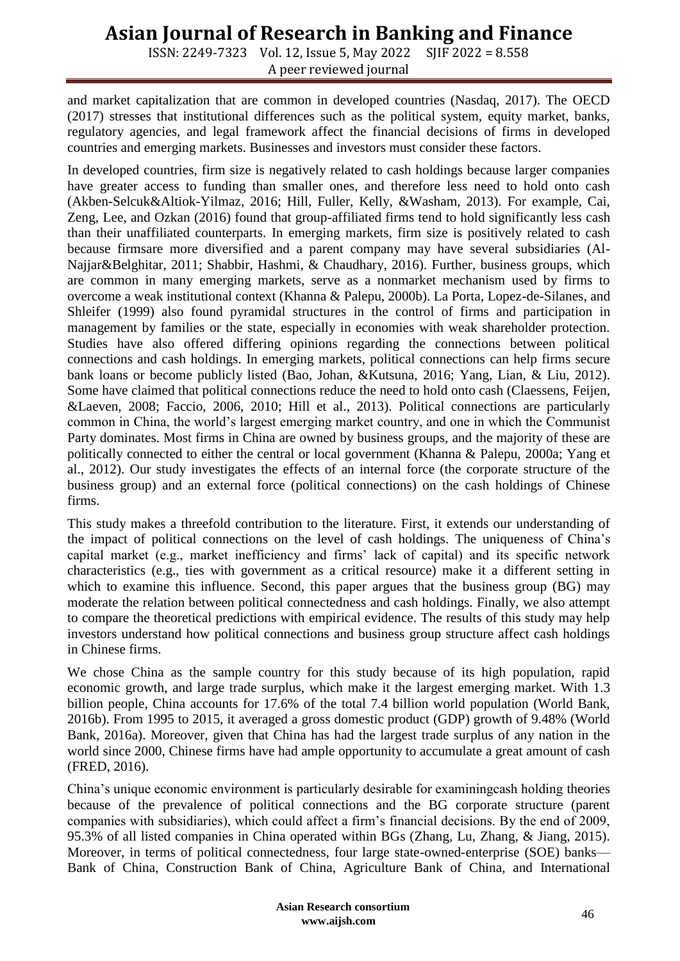ISSN: 2249-7323 Vol. 12, Issue 5, May 2022 SJIF 2022 = 8.558 A peer reviewed journal

and market capitalization that are common in developed countries (Nasdaq, 2017). The OECD (2017) stresses that institutional differences such as the political system, equity market, banks, regulatory agencies, and legal framework affect the financial decisions of firms in developed countries and emerging markets. Businesses and investors must consider these factors.

In developed countries, firm size is negatively related to cash holdings because larger companies have greater access to funding than smaller ones, and therefore less need to hold onto cash (Akben-Selcuk&Altiok-Yilmaz, 2016; Hill, Fuller, Kelly, &Washam, 2013). For example, Cai, Zeng, Lee, and Ozkan (2016) found that group-affiliated firms tend to hold significantly less cash than their unaffiliated counterparts. In emerging markets, firm size is positively related to cash because firmsare more diversified and a parent company may have several subsidiaries (Al-Najjar&Belghitar, 2011; Shabbir, Hashmi, & Chaudhary, 2016). Further, business groups, which are common in many emerging markets, serve as a nonmarket mechanism used by firms to overcome a weak institutional context (Khanna & Palepu, 2000b). La Porta, Lopez-de-Silanes, and Shleifer (1999) also found pyramidal structures in the control of firms and participation in management by families or the state, especially in economies with weak shareholder protection. Studies have also offered differing opinions regarding the connections between political connections and cash holdings. In emerging markets, political connections can help firms secure bank loans or become publicly listed (Bao, Johan, &Kutsuna, 2016; Yang, Lian, & Liu, 2012). Some have claimed that political connections reduce the need to hold onto cash (Claessens, Feijen, &Laeven, 2008; Faccio, 2006, 2010; Hill et al., 2013). Political connections are particularly common in China, the world's largest emerging market country, and one in which the Communist Party dominates. Most firms in China are owned by business groups, and the majority of these are politically connected to either the central or local government (Khanna & Palepu, 2000a; Yang et al., 2012). Our study investigates the effects of an internal force (the corporate structure of the business group) and an external force (political connections) on the cash holdings of Chinese firms.

This study makes a threefold contribution to the literature. First, it extends our understanding of the impact of political connections on the level of cash holdings. The uniqueness of China's capital market (e.g., market inefficiency and firms' lack of capital) and its specific network characteristics (e.g., ties with government as a critical resource) make it a different setting in which to examine this influence. Second, this paper argues that the business group (BG) may moderate the relation between political connectedness and cash holdings. Finally, we also attempt to compare the theoretical predictions with empirical evidence. The results of this study may help investors understand how political connections and business group structure affect cash holdings in Chinese firms.

We chose China as the sample country for this study because of its high population, rapid economic growth, and large trade surplus, which make it the largest emerging market. With 1.3 billion people, China accounts for 17.6% of the total 7.4 billion world population (World Bank, 2016b). From 1995 to 2015, it averaged a gross domestic product (GDP) growth of 9.48% (World Bank, 2016a). Moreover, given that China has had the largest trade surplus of any nation in the world since 2000, Chinese firms have had ample opportunity to accumulate a great amount of cash (FRED, 2016).

China's unique economic environment is particularly desirable for examiningcash holding theories because of the prevalence of political connections and the BG corporate structure (parent companies with subsidiaries), which could affect a firm's financial decisions. By the end of 2009, 95.3% of all listed companies in China operated within BGs (Zhang, Lu, Zhang, & Jiang, 2015). Moreover, in terms of political connectedness, four large state-owned-enterprise (SOE) banks— Bank of China, Construction Bank of China, Agriculture Bank of China, and International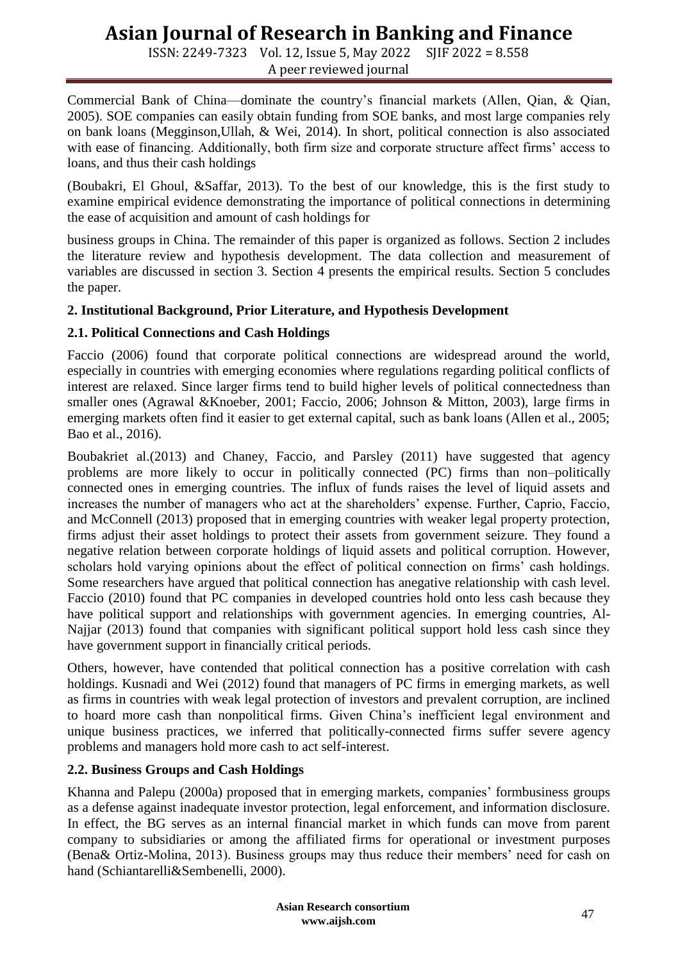ISSN: 2249-7323 Vol. 12, Issue 5, May 2022 SJIF 2022 = 8.558 A peer reviewed journal

Commercial Bank of China—dominate the country's financial markets (Allen, Qian, & Qian, 2005). SOE companies can easily obtain funding from SOE banks, and most large companies rely on bank loans (Megginson,Ullah, & Wei, 2014). In short, political connection is also associated with ease of financing. Additionally, both firm size and corporate structure affect firms' access to loans, and thus their cash holdings

(Boubakri, El Ghoul, &Saffar, 2013). To the best of our knowledge, this is the first study to examine empirical evidence demonstrating the importance of political connections in determining the ease of acquisition and amount of cash holdings for

business groups in China. The remainder of this paper is organized as follows. Section 2 includes the literature review and hypothesis development. The data collection and measurement of variables are discussed in section 3. Section 4 presents the empirical results. Section 5 concludes the paper.

## **2. Institutional Background, Prior Literature, and Hypothesis Development**

## **2.1. Political Connections and Cash Holdings**

Faccio (2006) found that corporate political connections are widespread around the world, especially in countries with emerging economies where regulations regarding political conflicts of interest are relaxed. Since larger firms tend to build higher levels of political connectedness than smaller ones (Agrawal &Knoeber, 2001; Faccio, 2006; Johnson & Mitton, 2003), large firms in emerging markets often find it easier to get external capital, such as bank loans (Allen et al., 2005; Bao et al., 2016).

Boubakriet al.(2013) and Chaney, Faccio, and Parsley (2011) have suggested that agency problems are more likely to occur in politically connected (PC) firms than non–politically connected ones in emerging countries. The influx of funds raises the level of liquid assets and increases the number of managers who act at the shareholders' expense. Further, Caprio, Faccio, and McConnell (2013) proposed that in emerging countries with weaker legal property protection, firms adjust their asset holdings to protect their assets from government seizure. They found a negative relation between corporate holdings of liquid assets and political corruption. However, scholars hold varying opinions about the effect of political connection on firms' cash holdings. Some researchers have argued that political connection has anegative relationship with cash level. Faccio (2010) found that PC companies in developed countries hold onto less cash because they have political support and relationships with government agencies. In emerging countries, Al-Najjar (2013) found that companies with significant political support hold less cash since they have government support in financially critical periods.

Others, however, have contended that political connection has a positive correlation with cash holdings. Kusnadi and Wei (2012) found that managers of PC firms in emerging markets, as well as firms in countries with weak legal protection of investors and prevalent corruption, are inclined to hoard more cash than nonpolitical firms. Given China's inefficient legal environment and unique business practices, we inferred that politically-connected firms suffer severe agency problems and managers hold more cash to act self-interest.

## **2.2. Business Groups and Cash Holdings**

Khanna and Palepu (2000a) proposed that in emerging markets, companies' formbusiness groups as a defense against inadequate investor protection, legal enforcement, and information disclosure. In effect, the BG serves as an internal financial market in which funds can move from parent company to subsidiaries or among the affiliated firms for operational or investment purposes (Bena& Ortiz-Molina, 2013). Business groups may thus reduce their members' need for cash on hand (Schiantarelli&Sembenelli, 2000).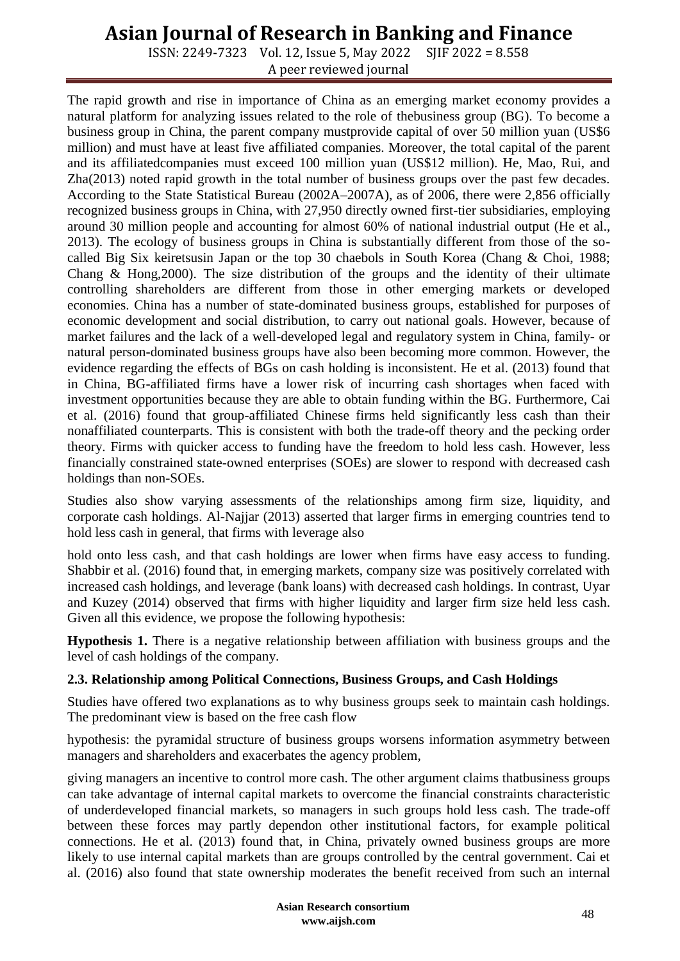ISSN: 2249-7323 Vol. 12, Issue 5, May 2022 SJIF 2022 = 8.558 A peer reviewed journal

The rapid growth and rise in importance of China as an emerging market economy provides a natural platform for analyzing issues related to the role of thebusiness group (BG). To become a business group in China, the parent company mustprovide capital of over 50 million yuan (US\$6 million) and must have at least five affiliated companies. Moreover, the total capital of the parent and its affiliatedcompanies must exceed 100 million yuan (US\$12 million). He, Mao, Rui, and Zha(2013) noted rapid growth in the total number of business groups over the past few decades. According to the State Statistical Bureau (2002A–2007A), as of 2006, there were 2,856 officially recognized business groups in China, with 27,950 directly owned first-tier subsidiaries, employing around 30 million people and accounting for almost 60% of national industrial output (He et al., 2013). The ecology of business groups in China is substantially different from those of the socalled Big Six keiretsusin Japan or the top 30 chaebols in South Korea (Chang & Choi, 1988; Chang  $\&$  Hong, 2000). The size distribution of the groups and the identity of their ultimate controlling shareholders are different from those in other emerging markets or developed economies. China has a number of state-dominated business groups, established for purposes of economic development and social distribution, to carry out national goals. However, because of market failures and the lack of a well-developed legal and regulatory system in China, family- or natural person-dominated business groups have also been becoming more common. However, the evidence regarding the effects of BGs on cash holding is inconsistent. He et al. (2013) found that in China, BG-affiliated firms have a lower risk of incurring cash shortages when faced with investment opportunities because they are able to obtain funding within the BG. Furthermore, Cai et al. (2016) found that group-affiliated Chinese firms held significantly less cash than their nonaffiliated counterparts. This is consistent with both the trade-off theory and the pecking order theory. Firms with quicker access to funding have the freedom to hold less cash. However, less financially constrained state-owned enterprises (SOEs) are slower to respond with decreased cash holdings than non-SOEs.

Studies also show varying assessments of the relationships among firm size, liquidity, and corporate cash holdings. Al-Najjar (2013) asserted that larger firms in emerging countries tend to hold less cash in general, that firms with leverage also

hold onto less cash, and that cash holdings are lower when firms have easy access to funding. Shabbir et al. (2016) found that, in emerging markets, company size was positively correlated with increased cash holdings, and leverage (bank loans) with decreased cash holdings. In contrast, Uyar and Kuzey (2014) observed that firms with higher liquidity and larger firm size held less cash. Given all this evidence, we propose the following hypothesis:

**Hypothesis 1.** There is a negative relationship between affiliation with business groups and the level of cash holdings of the company.

#### **2.3. Relationship among Political Connections, Business Groups, and Cash Holdings**

Studies have offered two explanations as to why business groups seek to maintain cash holdings. The predominant view is based on the free cash flow

hypothesis: the pyramidal structure of business groups worsens information asymmetry between managers and shareholders and exacerbates the agency problem,

giving managers an incentive to control more cash. The other argument claims thatbusiness groups can take advantage of internal capital markets to overcome the financial constraints characteristic of underdeveloped financial markets, so managers in such groups hold less cash. The trade-off between these forces may partly dependon other institutional factors, for example political connections. He et al. (2013) found that, in China, privately owned business groups are more likely to use internal capital markets than are groups controlled by the central government. Cai et al. (2016) also found that state ownership moderates the benefit received from such an internal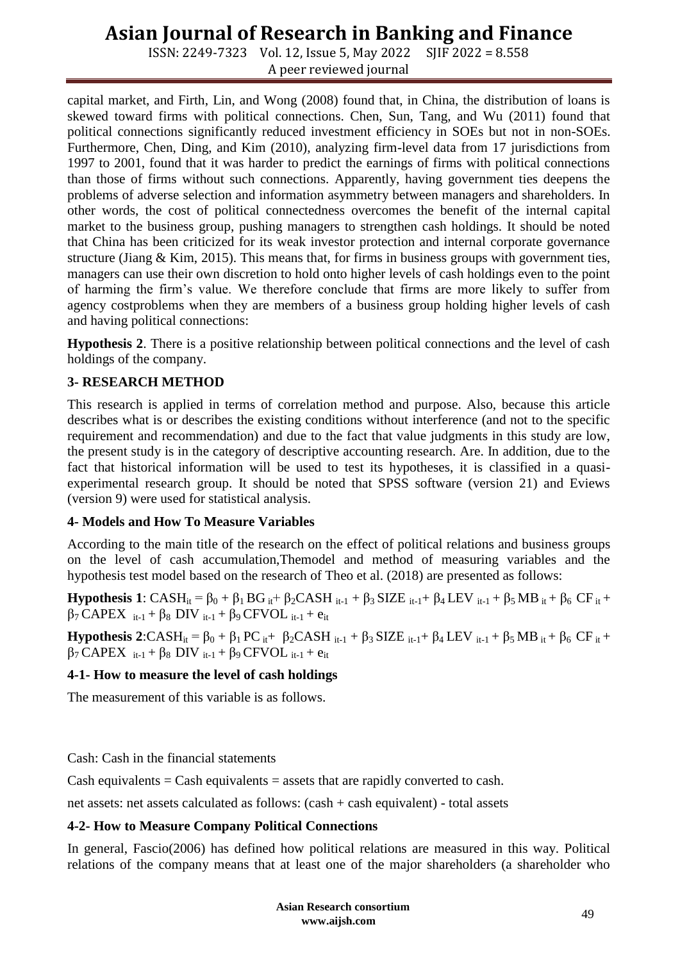ISSN: 2249-7323 Vol. 12, Issue 5, May 2022 SJIF 2022 = 8.558 A peer reviewed journal

capital market, and Firth, Lin, and Wong (2008) found that, in China, the distribution of loans is skewed toward firms with political connections. Chen, Sun, Tang, and Wu (2011) found that political connections significantly reduced investment efficiency in SOEs but not in non-SOEs. Furthermore, Chen, Ding, and Kim (2010), analyzing firm-level data from 17 jurisdictions from 1997 to 2001, found that it was harder to predict the earnings of firms with political connections than those of firms without such connections. Apparently, having government ties deepens the problems of adverse selection and information asymmetry between managers and shareholders. In other words, the cost of political connectedness overcomes the benefit of the internal capital market to the business group, pushing managers to strengthen cash holdings. It should be noted that China has been criticized for its weak investor protection and internal corporate governance structure (Jiang  $& Kim, 2015$ ). This means that, for firms in business groups with government ties, managers can use their own discretion to hold onto higher levels of cash holdings even to the point of harming the firm's value. We therefore conclude that firms are more likely to suffer from agency costproblems when they are members of a business group holding higher levels of cash and having political connections:

**Hypothesis 2**. There is a positive relationship between political connections and the level of cash holdings of the company.

### **3- RESEARCH METHOD**

This research is applied in terms of correlation method and purpose. Also, because this article describes what is or describes the existing conditions without interference (and not to the specific requirement and recommendation) and due to the fact that value judgments in this study are low, the present study is in the category of descriptive accounting research. Are. In addition, due to the fact that historical information will be used to test its hypotheses, it is classified in a quasiexperimental research group. It should be noted that SPSS software (version 21) and Eviews (version 9) were used for statistical analysis.

#### **4- Models and How To Measure Variables**

According to the main title of the research on the effect of political relations and business groups on the level of cash accumulation,Themodel and method of measuring variables and the hypothesis test model based on the research of Theo et al. (2018) are presented as follows:

**Hypothesis 1**:  $CASH_{it} = \beta_0 + \beta_1 BG_{it} + \beta_2 CASH_{it-1} + \beta_3 SIZE_{it-1} + \beta_4 LEV_{it-1} + \beta_5 MB_{it} + \beta_6 CF_{it} +$  $β_7$  CAPEX  $i_{t-1}$  +  $β_8$  DIV  $i_{t-1}$  +  $β_9$  CFVOL  $i_{t-1}$  +  $e_{it}$ 

**Hypothesis 2**:CASH<sub>it</sub> = β<sub>0</sub> + β<sub>1</sub> PC<sub>it</sub>+ β<sub>2</sub>CASH<sub>it-1</sub> + β<sub>3</sub> SIZE<sub>it-1</sub>+ β<sub>4</sub> LEV<sub>it-1</sub> + β<sub>5</sub> MB<sub>it</sub> + β<sub>6</sub> CF<sub>it</sub> +  $β_7$  CAPEX  $_{it-1}$  +  $β_8$  DIV  $_{it-1}$  +  $β_9$  CFVOL  $_{it-1}$  +  $e_{it}$ 

#### **4-1- How to measure the level of cash holdings**

The measurement of this variable is as follows.

Cash: Cash in the financial statements

Cash equivalents  $=$  Cash equivalents  $=$  assets that are rapidly converted to cash.

net assets: net assets calculated as follows: (cash + cash equivalent) - total assets

#### **4-2- How to Measure Company Political Connections**

In general, Fascio(2006) has defined how political relations are measured in this way. Political relations of the company means that at least one of the major shareholders (a shareholder who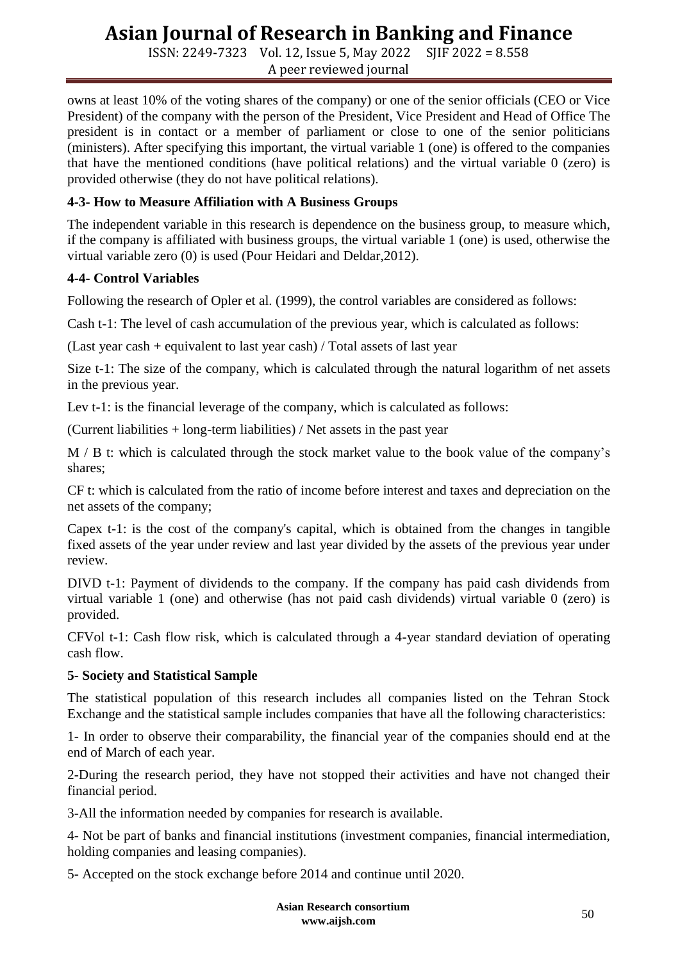ISSN: 2249-7323 Vol. 12, Issue 5, May 2022 SJIF 2022 = 8.558 A peer reviewed journal

owns at least 10% of the voting shares of the company) or one of the senior officials (CEO or Vice President) of the company with the person of the President, Vice President and Head of Office The president is in contact or a member of parliament or close to one of the senior politicians (ministers). After specifying this important, the virtual variable 1 (one) is offered to the companies that have the mentioned conditions (have political relations) and the virtual variable 0 (zero) is provided otherwise (they do not have political relations).

### **4-3- How to Measure Affiliation with A Business Groups**

The independent variable in this research is dependence on the business group, to measure which, if the company is affiliated with business groups, the virtual variable 1 (one) is used, otherwise the virtual variable zero (0) is used (Pour Heidari and Deldar,2012).

### **4-4- Control Variables**

Following the research of Opler et al. (1999), the control variables are considered as follows:

Cash t-1: The level of cash accumulation of the previous year, which is calculated as follows:

(Last year cash + equivalent to last year cash) / Total assets of last year

Size t-1: The size of the company, which is calculated through the natural logarithm of net assets in the previous year.

Lev t-1: is the financial leverage of the company, which is calculated as follows:

(Current liabilities + long-term liabilities) / Net assets in the past year

M / B t: which is calculated through the stock market value to the book value of the company's shares;

CF t: which is calculated from the ratio of income before interest and taxes and depreciation on the net assets of the company;

Capex t-1: is the cost of the company's capital, which is obtained from the changes in tangible fixed assets of the year under review and last year divided by the assets of the previous year under review.

DIVD t-1: Payment of dividends to the company. If the company has paid cash dividends from virtual variable 1 (one) and otherwise (has not paid cash dividends) virtual variable 0 (zero) is provided.

CFVol t-1: Cash flow risk, which is calculated through a 4-year standard deviation of operating cash flow.

## **5- Society and Statistical Sample**

The statistical population of this research includes all companies listed on the Tehran Stock Exchange and the statistical sample includes companies that have all the following characteristics:

1- In order to observe their comparability, the financial year of the companies should end at the end of March of each year.

2-During the research period, they have not stopped their activities and have not changed their financial period.

3-All the information needed by companies for research is available.

4- Not be part of banks and financial institutions (investment companies, financial intermediation, holding companies and leasing companies).

5- Accepted on the stock exchange before 2014 and continue until 2020.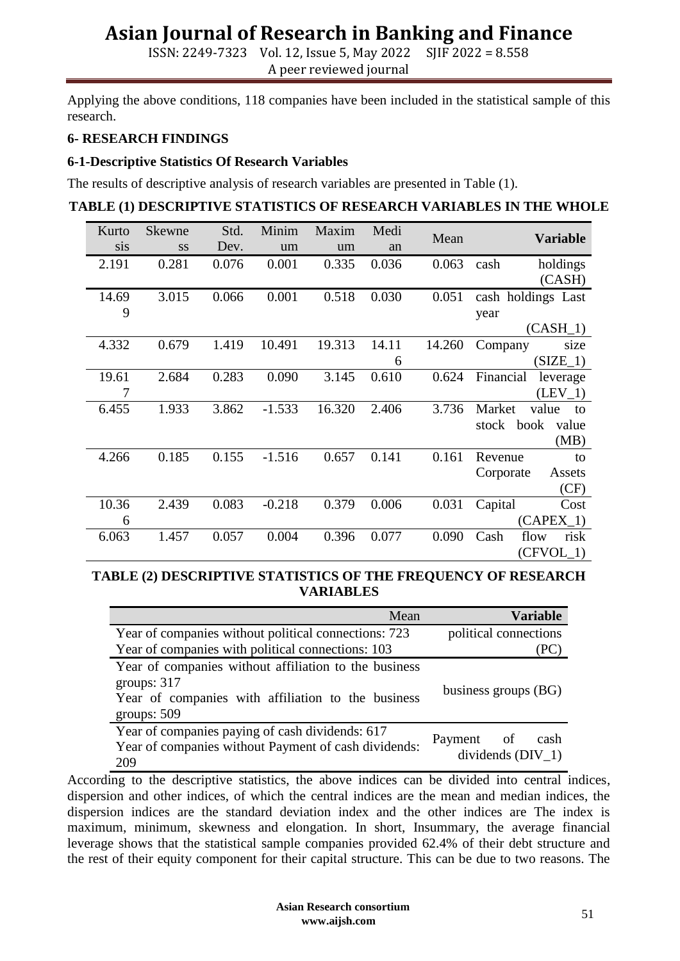ISSN: 2249-7323 Vol. 12, Issue 5, May 2022 SJIF 2022 = 8.558 A peer reviewed journal

Applying the above conditions, 118 companies have been included in the statistical sample of this research.

#### **6- RESEARCH FINDINGS**

#### **6-1-Descriptive Statistics Of Research Variables**

The results of descriptive analysis of research variables are presented in Table (1).

#### **TABLE (1) DESCRIPTIVE STATISTICS OF RESEARCH VARIABLES IN THE WHOLE**

| Kurto | <b>Skewne</b> | Std.  | Minim    | Maxim  | Medi  | Mean   | <b>Variable</b>        |
|-------|---------------|-------|----------|--------|-------|--------|------------------------|
| sis   | <b>SS</b>     | Dev.  | um       | um     | an    |        |                        |
| 2.191 | 0.281         | 0.076 | 0.001    | 0.335  | 0.036 | 0.063  | cash<br>holdings       |
|       |               |       |          |        |       |        | (CASH)                 |
| 14.69 | 3.015         | 0.066 | 0.001    | 0.518  | 0.030 | 0.051  | cash holdings Last     |
| 9     |               |       |          |        |       |        | year                   |
|       |               |       |          |        |       |        | $(CASH_1)$             |
| 4.332 | 0.679         | 1.419 | 10.491   | 19.313 | 14.11 | 14.260 | Company<br>size        |
|       |               |       |          |        | 6     |        | $(SIZE_1)$             |
| 19.61 | 2.684         | 0.283 | 0.090    | 3.145  | 0.610 | 0.624  | Financial<br>leverage  |
| 7     |               |       |          |        |       |        | $(LEV_1)$              |
| 6.455 | 1.933         | 3.862 | $-1.533$ | 16.320 | 2.406 | 3.736  | value<br>Market<br>to  |
|       |               |       |          |        |       |        | stock<br>book<br>value |
|       |               |       |          |        |       |        | (MB)                   |
| 4.266 | 0.185         | 0.155 | $-1.516$ | 0.657  | 0.141 | 0.161  | Revenue<br>to          |
|       |               |       |          |        |       |        | Corporate<br>Assets    |
|       |               |       |          |        |       |        | (CF)                   |
| 10.36 | 2.439         | 0.083 | $-0.218$ | 0.379  | 0.006 | 0.031  | Capital<br>Cost        |
| 6     |               |       |          |        |       |        | $(CAPEX_1)$            |
| 6.063 | 1.457         | 0.057 | 0.004    | 0.396  | 0.077 | 0.090  | Cash<br>flow<br>risk   |
|       |               |       |          |        |       |        | $(CFVOL_1)$            |

#### **TABLE (2) DESCRIPTIVE STATISTICS OF THE FREQUENCY OF RESEARCH VARIABLES**

| Mean                                                                                                                                          | <b>Variable</b>                           |
|-----------------------------------------------------------------------------------------------------------------------------------------------|-------------------------------------------|
| Year of companies without political connections: 723                                                                                          | political connections                     |
| Year of companies with political connections: 103                                                                                             |                                           |
| Year of companies without affiliation to the business<br>groups: $317$<br>Year of companies with affiliation to the business<br>groups: $509$ | business groups (BG)                      |
| Year of companies paying of cash dividends: 617<br>Year of companies without Payment of cash dividends:<br>209                                | Payment of<br>cash<br>dividends $(DIV_1)$ |

According to the descriptive statistics, the above indices can be divided into central indices, dispersion and other indices, of which the central indices are the mean and median indices, the dispersion indices are the standard deviation index and the other indices are The index is maximum, minimum, skewness and elongation. In short, Insummary, the average financial leverage shows that the statistical sample companies provided 62.4% of their debt structure and the rest of their equity component for their capital structure. This can be due to two reasons. The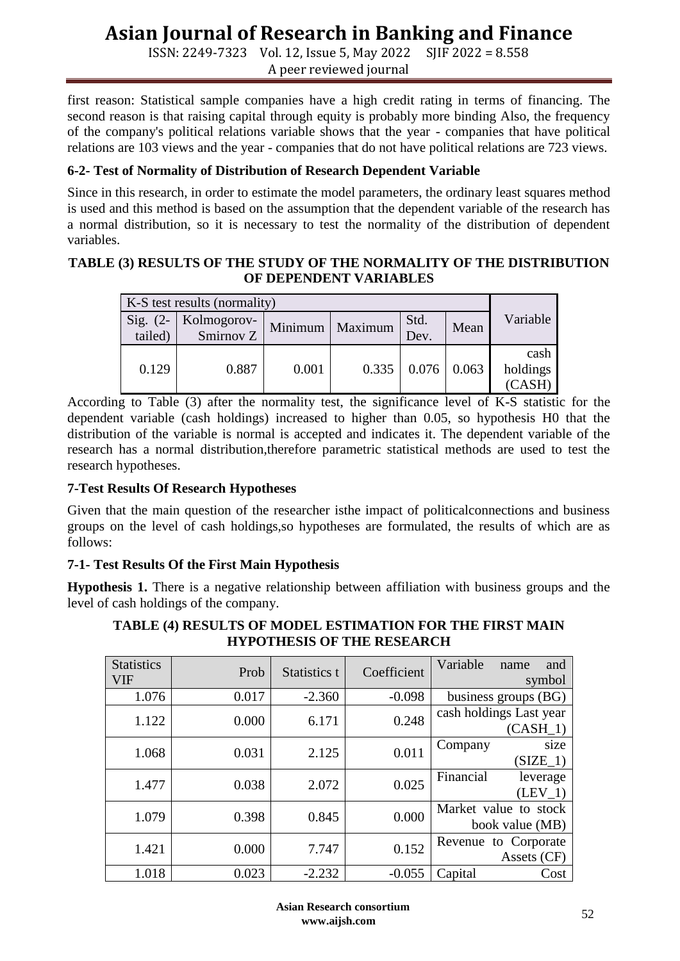ISSN: 2249-7323 Vol. 12, Issue 5, May 2022 SJIF 2022 = 8.558 A peer reviewed journal

first reason: Statistical sample companies have a high credit rating in terms of financing. The second reason is that raising capital through equity is probably more binding Also, the frequency of the company's political relations variable shows that the year - companies that have political relations are 103 views and the year - companies that do not have political relations are 723 views.

#### **6-2- Test of Normality of Distribution of Research Dependent Variable**

Since in this research, in order to estimate the model parameters, the ordinary least squares method is used and this method is based on the assumption that the dependent variable of the research has a normal distribution, so it is necessary to test the normality of the distribution of dependent variables.

### **TABLE (3) RESULTS OF THE STUDY OF THE NORMALITY OF THE DISTRIBUTION OF DEPENDENT VARIABLES**

|  | $Sig. (2-$<br>tailed) | Kolmogorov-<br>Smirnov Z | Minimum | Maximum | Std.<br>Dev.       | Mean | Variable                   |
|--|-----------------------|--------------------------|---------|---------|--------------------|------|----------------------------|
|  | 0.129                 | 0.887                    | 0.001   | 0.335   | $0.076 \mid 0.063$ |      | cash<br>holdings<br>(CASH) |

According to Table (3) after the normality test, the significance level of K-S statistic for the dependent variable (cash holdings) increased to higher than 0.05, so hypothesis H0 that the distribution of the variable is normal is accepted and indicates it. The dependent variable of the research has a normal distribution,therefore parametric statistical methods are used to test the research hypotheses.

#### **7-Test Results Of Research Hypotheses**

Given that the main question of the researcher isthe impact of politicalconnections and business groups on the level of cash holdings,so hypotheses are formulated, the results of which are as follows:

## **7-1- Test Results Of the First Main Hypothesis**

**Hypothesis 1.** There is a negative relationship between affiliation with business groups and the level of cash holdings of the company.

| <b>Statistics</b><br>VIF | Prob  | Statistics t | Coefficient | Variable<br>and<br>name<br>symbol        |  |  |
|--------------------------|-------|--------------|-------------|------------------------------------------|--|--|
| 1.076                    | 0.017 | $-2.360$     | $-0.098$    | business groups (BG)                     |  |  |
| 1.122                    | 0.000 | 6.171        | 0.248       | cash holdings Last year<br>$(CASH_1)$    |  |  |
| 1.068                    | 0.031 | 2.125        | 0.011       | Company<br>size<br>$(SIZE_1)$            |  |  |
| 1.477                    | 0.038 | 2.072        | 0.025       | Financial<br>leverage<br>$(LEV_1)$       |  |  |
| 1.079                    | 0.398 | 0.845        | 0.000       | Market value to stock<br>book value (MB) |  |  |
| 1.421                    | 0.000 | 7.747        | 0.152       | Revenue to Corporate<br>Assets (CF)      |  |  |
| 1.018                    | 0.023 | $-2.232$     | $-0.055$    | Capital<br>Cost                          |  |  |

#### **TABLE (4) RESULTS OF MODEL ESTIMATION FOR THE FIRST MAIN HYPOTHESIS OF THE RESEARCH**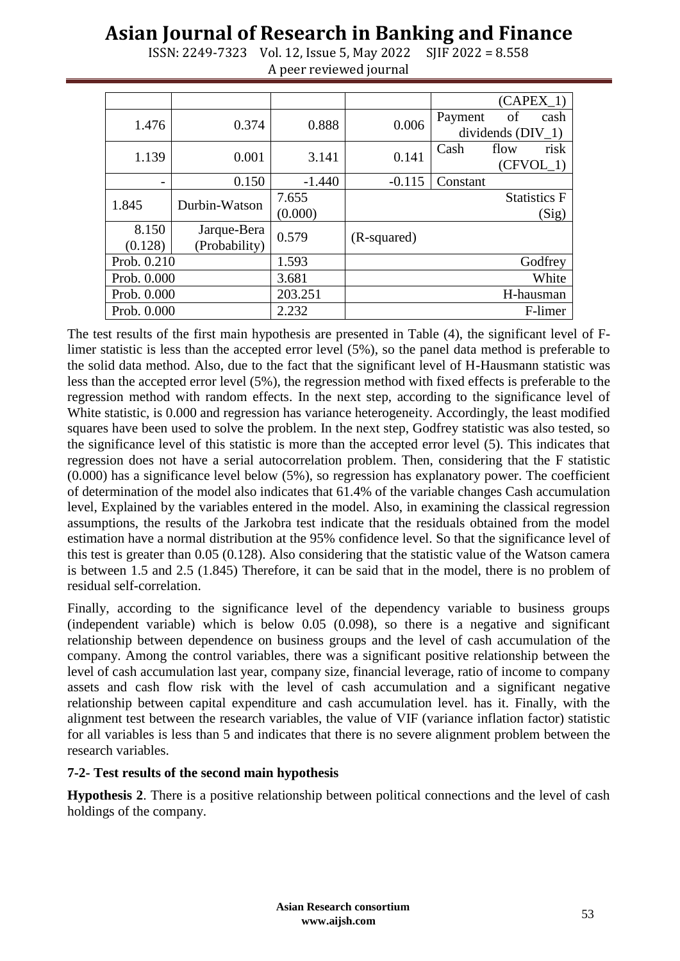|             |               |          |             |                     |      | (CAPEX 1)           |
|-------------|---------------|----------|-------------|---------------------|------|---------------------|
| 1.476       | 0.374         | 0.888    | 0.006       | Payment             | of   | cash                |
|             |               |          |             | dividends $(DIV_1)$ |      |                     |
| 1.139       | 0.001         | 3.141    | 0.141       | Cash                | flow | risk                |
|             |               |          |             |                     |      | $(CFVOL_1)$         |
|             | 0.150         | $-1.440$ | $-0.115$    | Constant            |      |                     |
| 1.845       | Durbin-Watson | 7.655    |             |                     |      | <b>Statistics F</b> |
|             |               | (0.000)  |             |                     |      | (Sig)               |
| 8.150       | Jarque-Bera   | 0.579    |             |                     |      |                     |
| (0.128)     | (Probability) |          | (R-squared) |                     |      |                     |
| Prob. 0.210 |               | 1.593    |             |                     |      | Godfrey             |
| Prob. 0.000 |               | 3.681    |             |                     |      | White               |
| Prob. 0.000 |               | 203.251  |             |                     |      | H-hausman           |
| Prob. 0.000 |               | 2.232    |             |                     |      | F-limer             |

ISSN: 2249-7323 Vol. 12, Issue 5, May 2022 SJIF 2022 = 8.558 A peer reviewed journal

The test results of the first main hypothesis are presented in Table (4), the significant level of Flimer statistic is less than the accepted error level (5%), so the panel data method is preferable to the solid data method. Also, due to the fact that the significant level of H-Hausmann statistic was less than the accepted error level (5%), the regression method with fixed effects is preferable to the regression method with random effects. In the next step, according to the significance level of White statistic, is 0.000 and regression has variance heterogeneity. Accordingly, the least modified squares have been used to solve the problem. In the next step, Godfrey statistic was also tested, so the significance level of this statistic is more than the accepted error level (5). This indicates that regression does not have a serial autocorrelation problem. Then, considering that the F statistic (0.000) has a significance level below (5%), so regression has explanatory power. The coefficient of determination of the model also indicates that 61.4% of the variable changes Cash accumulation level, Explained by the variables entered in the model. Also, in examining the classical regression assumptions, the results of the Jarkobra test indicate that the residuals obtained from the model estimation have a normal distribution at the 95% confidence level. So that the significance level of this test is greater than 0.05 (0.128). Also considering that the statistic value of the Watson camera is between 1.5 and 2.5 (1.845) Therefore, it can be said that in the model, there is no problem of residual self-correlation.

Finally, according to the significance level of the dependency variable to business groups (independent variable) which is below 0.05 (0.098), so there is a negative and significant relationship between dependence on business groups and the level of cash accumulation of the company. Among the control variables, there was a significant positive relationship between the level of cash accumulation last year, company size, financial leverage, ratio of income to company assets and cash flow risk with the level of cash accumulation and a significant negative relationship between capital expenditure and cash accumulation level. has it. Finally, with the alignment test between the research variables, the value of VIF (variance inflation factor) statistic for all variables is less than 5 and indicates that there is no severe alignment problem between the research variables.

#### **7-2- Test results of the second main hypothesis**

**Hypothesis 2**. There is a positive relationship between political connections and the level of cash holdings of the company.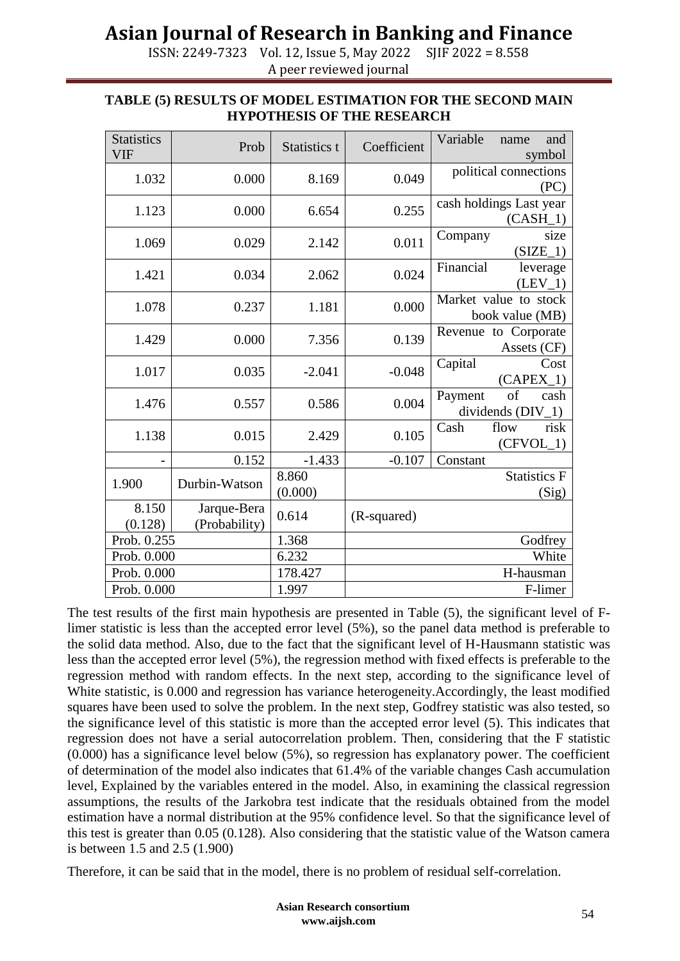ISSN: 2249-7323 Vol. 12, Issue 5, May 2022 SJIF 2022 = 8.558 A peer reviewed journal

| <b>Statistics</b>        | Prob          | Statistics t   | Coefficient | Variable<br>and<br>name |  |  |
|--------------------------|---------------|----------------|-------------|-------------------------|--|--|
| <b>VIF</b>               |               |                |             | symbol                  |  |  |
| 1.032<br>0.000           |               | 8.169          | 0.049       | political connections   |  |  |
|                          |               |                |             | (PC)                    |  |  |
| 1.123                    | 0.000         | 6.654          | 0.255       | cash holdings Last year |  |  |
|                          |               |                |             | $(CASH_1)$              |  |  |
| 1.069                    | 0.029         | 2.142          | 0.011       | Company<br>size         |  |  |
|                          |               |                |             | (SIZE 1)                |  |  |
| 1.421                    | 0.034         | 2.062          | 0.024       | Financial<br>leverage   |  |  |
|                          |               |                |             | (LEV 1)                 |  |  |
| 1.078                    | 0.237         | 1.181          | 0.000       | Market value to stock   |  |  |
|                          |               |                |             | book value (MB)         |  |  |
| 1.429                    | 0.000         | 7.356          | 0.139       | Revenue to Corporate    |  |  |
|                          |               |                |             | Assets (CF)             |  |  |
| 1.017                    | 0.035         | $-2.041$       | $-0.048$    | Cost<br>Capital         |  |  |
|                          |               |                |             | $(CAPEX_1)$             |  |  |
| 1.476                    | 0.557         | 0.586          | 0.004       | of<br>Payment<br>cash   |  |  |
|                          |               |                |             | dividends $(DIV_1)$     |  |  |
| 1.138                    | 0.015         | 0.105<br>2.429 |             | Cash<br>flow<br>risk    |  |  |
|                          |               |                |             | $(CFVOL_1)$             |  |  |
|                          | 0.152         | $-1.433$       | $-0.107$    | Constant                |  |  |
| 1.900                    | Durbin-Watson | 8.860          |             | <b>Statistics F</b>     |  |  |
|                          |               | (0.000)        |             | (Sig)                   |  |  |
| 8.150                    | Jarque-Bera   | 0.614          |             |                         |  |  |
| (0.128)<br>(Probability) |               |                | (R-squared) |                         |  |  |
| Prob. 0.255              |               | 1.368          |             | Godfrey                 |  |  |
| Prob. 0.000              |               | 6.232          | White       |                         |  |  |
| Prob. 0.000              |               | 178.427        | H-hausman   |                         |  |  |
| Prob. 0.000              |               | 1.997          | F-limer     |                         |  |  |

#### **TABLE (5) RESULTS OF MODEL ESTIMATION FOR THE SECOND MAIN HYPOTHESIS OF THE RESEARCH**

The test results of the first main hypothesis are presented in Table (5), the significant level of Flimer statistic is less than the accepted error level (5%), so the panel data method is preferable to the solid data method. Also, due to the fact that the significant level of H-Hausmann statistic was less than the accepted error level (5%), the regression method with fixed effects is preferable to the regression method with random effects. In the next step, according to the significance level of White statistic, is 0.000 and regression has variance heterogeneity.Accordingly, the least modified squares have been used to solve the problem. In the next step, Godfrey statistic was also tested, so the significance level of this statistic is more than the accepted error level (5). This indicates that regression does not have a serial autocorrelation problem. Then, considering that the F statistic (0.000) has a significance level below (5%), so regression has explanatory power. The coefficient of determination of the model also indicates that 61.4% of the variable changes Cash accumulation level, Explained by the variables entered in the model. Also, in examining the classical regression assumptions, the results of the Jarkobra test indicate that the residuals obtained from the model estimation have a normal distribution at the 95% confidence level. So that the significance level of this test is greater than 0.05 (0.128). Also considering that the statistic value of the Watson camera is between 1.5 and 2.5 (1.900)

Therefore, it can be said that in the model, there is no problem of residual self-correlation.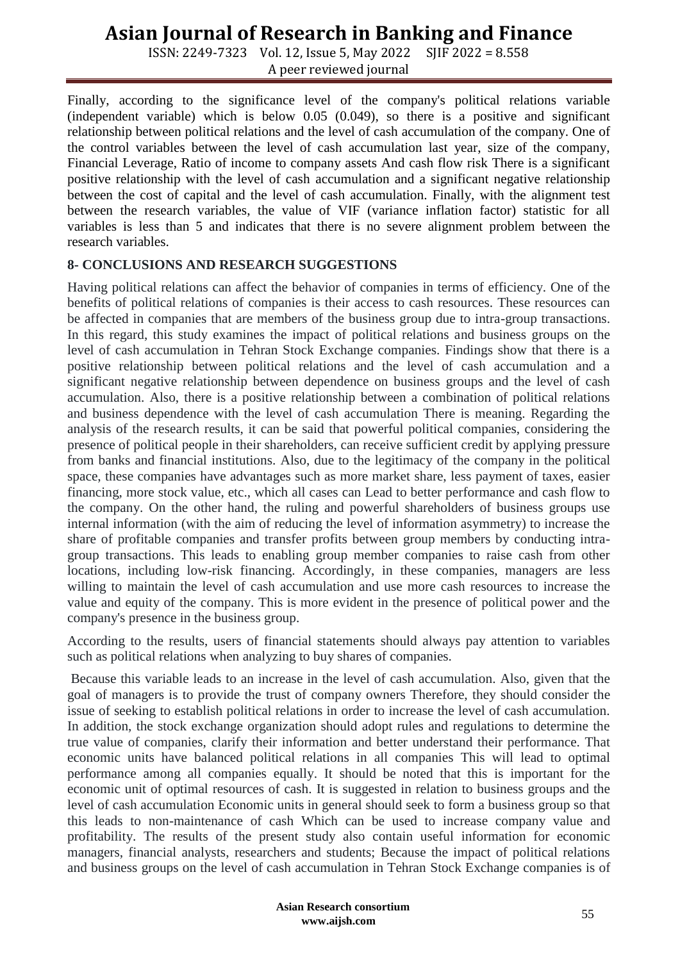ISSN: 2249-7323 Vol. 12, Issue 5, May 2022 SJIF 2022 = 8.558 A peer reviewed journal

Finally, according to the significance level of the company's political relations variable (independent variable) which is below 0.05 (0.049), so there is a positive and significant relationship between political relations and the level of cash accumulation of the company. One of the control variables between the level of cash accumulation last year, size of the company, Financial Leverage, Ratio of income to company assets And cash flow risk There is a significant positive relationship with the level of cash accumulation and a significant negative relationship between the cost of capital and the level of cash accumulation. Finally, with the alignment test between the research variables, the value of VIF (variance inflation factor) statistic for all variables is less than 5 and indicates that there is no severe alignment problem between the research variables.

#### **8- CONCLUSIONS AND RESEARCH SUGGESTIONS**

Having political relations can affect the behavior of companies in terms of efficiency. One of the benefits of political relations of companies is their access to cash resources. These resources can be affected in companies that are members of the business group due to intra-group transactions. In this regard, this study examines the impact of political relations and business groups on the level of cash accumulation in Tehran Stock Exchange companies. Findings show that there is a positive relationship between political relations and the level of cash accumulation and a significant negative relationship between dependence on business groups and the level of cash accumulation. Also, there is a positive relationship between a combination of political relations and business dependence with the level of cash accumulation There is meaning. Regarding the analysis of the research results, it can be said that powerful political companies, considering the presence of political people in their shareholders, can receive sufficient credit by applying pressure from banks and financial institutions. Also, due to the legitimacy of the company in the political space, these companies have advantages such as more market share, less payment of taxes, easier financing, more stock value, etc., which all cases can Lead to better performance and cash flow to the company. On the other hand, the ruling and powerful shareholders of business groups use internal information (with the aim of reducing the level of information asymmetry) to increase the share of profitable companies and transfer profits between group members by conducting intragroup transactions. This leads to enabling group member companies to raise cash from other locations, including low-risk financing. Accordingly, in these companies, managers are less willing to maintain the level of cash accumulation and use more cash resources to increase the value and equity of the company. This is more evident in the presence of political power and the company's presence in the business group.

According to the results, users of financial statements should always pay attention to variables such as political relations when analyzing to buy shares of companies.

Because this variable leads to an increase in the level of cash accumulation. Also, given that the goal of managers is to provide the trust of company owners Therefore, they should consider the issue of seeking to establish political relations in order to increase the level of cash accumulation. In addition, the stock exchange organization should adopt rules and regulations to determine the true value of companies, clarify their information and better understand their performance. That economic units have balanced political relations in all companies This will lead to optimal performance among all companies equally. It should be noted that this is important for the economic unit of optimal resources of cash. It is suggested in relation to business groups and the level of cash accumulation Economic units in general should seek to form a business group so that this leads to non-maintenance of cash Which can be used to increase company value and profitability. The results of the present study also contain useful information for economic managers, financial analysts, researchers and students; Because the impact of political relations and business groups on the level of cash accumulation in Tehran Stock Exchange companies is of

> **Asian Research consortium www.aijsh.com** <sup>55</sup>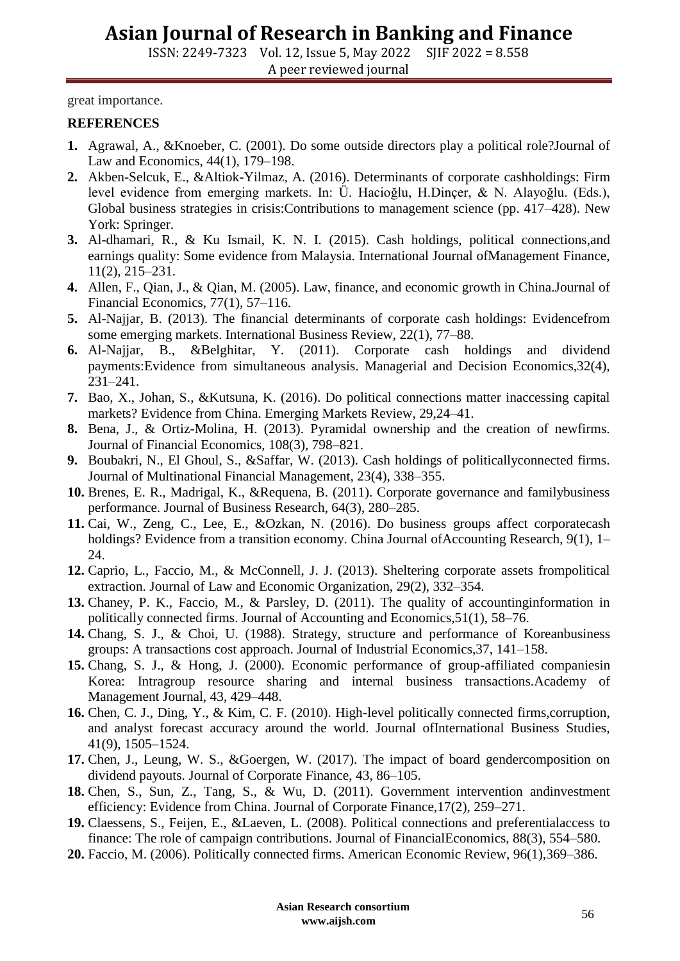ISSN: 2249-7323 Vol. 12, Issue 5, May 2022 SJIF 2022 = 8.558 A peer reviewed journal

great importance.

#### **REFERENCES**

- **1.** Agrawal, A., &Knoeber, C. (2001). Do some outside directors play a political role?Journal of Law and Economics, 44(1), 179–198.
- **2.** Akben-Selcuk, E., &Altiok-Yilmaz, A. (2016). Determinants of corporate cashholdings: Firm level evidence from emerging markets. In: Ü. Hacioğlu, H.Dinçer, & N. Alayoğlu. (Eds.), Global business strategies in crisis:Contributions to management science (pp. 417–428). New York: Springer.
- **3.** Al-dhamari, R., & Ku Ismail, K. N. I. (2015). Cash holdings, political connections,and earnings quality: Some evidence from Malaysia. International Journal ofManagement Finance, 11(2), 215–231.
- **4.** Allen, F., Qian, J., & Qian, M. (2005). Law, finance, and economic growth in China.Journal of Financial Economics, 77(1), 57–116.
- **5.** Al-Najjar, B. (2013). The financial determinants of corporate cash holdings: Evidencefrom some emerging markets. International Business Review, 22(1), 77–88.
- **6.** Al-Najjar, B., &Belghitar, Y. (2011). Corporate cash holdings and dividend payments:Evidence from simultaneous analysis. Managerial and Decision Economics,32(4), 231–241.
- **7.** Bao, X., Johan, S., &Kutsuna, K. (2016). Do political connections matter inaccessing capital markets? Evidence from China. Emerging Markets Review, 29,24–41.
- **8.** Bena, J., & Ortiz-Molina, H. (2013). Pyramidal ownership and the creation of newfirms. Journal of Financial Economics, 108(3), 798–821.
- **9.** Boubakri, N., El Ghoul, S., &Saffar, W. (2013). Cash holdings of politicallyconnected firms. Journal of Multinational Financial Management, 23(4), 338–355.
- **10.** Brenes, E. R., Madrigal, K., &Requena, B. (2011). Corporate governance and familybusiness performance. Journal of Business Research, 64(3), 280–285.
- **11.** Cai, W., Zeng, C., Lee, E., &Ozkan, N. (2016). Do business groups affect corporatecash holdings? Evidence from a transition economy. China Journal ofAccounting Research, 9(1), 1– 24.
- **12.** Caprio, L., Faccio, M., & McConnell, J. J. (2013). Sheltering corporate assets frompolitical extraction. Journal of Law and Economic Organization, 29(2), 332–354.
- **13.** Chaney, P. K., Faccio, M., & Parsley, D. (2011). The quality of accountinginformation in politically connected firms. Journal of Accounting and Economics,51(1), 58–76.
- **14.** Chang, S. J., & Choi, U. (1988). Strategy, structure and performance of Koreanbusiness groups: A transactions cost approach. Journal of Industrial Economics,37, 141–158.
- **15.** Chang, S. J., & Hong, J. (2000). Economic performance of group-affiliated companiesin Korea: Intragroup resource sharing and internal business transactions.Academy of Management Journal, 43, 429–448.
- **16.** Chen, C. J., Ding, Y., & Kim, C. F. (2010). High-level politically connected firms,corruption, and analyst forecast accuracy around the world. Journal ofInternational Business Studies, 41(9), 1505–1524.
- **17.** Chen, J., Leung, W. S., &Goergen, W. (2017). The impact of board gendercomposition on dividend payouts. Journal of Corporate Finance, 43, 86–105.
- **18.** Chen, S., Sun, Z., Tang, S., & Wu, D. (2011). Government intervention andinvestment efficiency: Evidence from China. Journal of Corporate Finance,17(2), 259–271.
- **19.** Claessens, S., Feijen, E., &Laeven, L. (2008). Political connections and preferentialaccess to finance: The role of campaign contributions. Journal of FinancialEconomics, 88(3), 554–580.
- **20.** Faccio, M. (2006). Politically connected firms. American Economic Review, 96(1),369–386.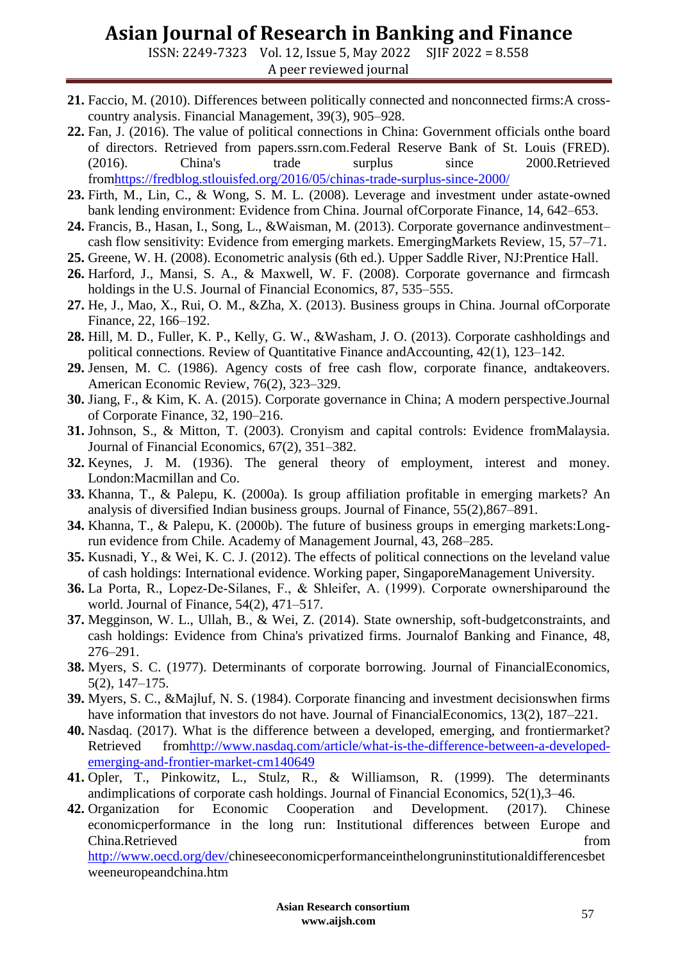ISSN: 2249-7323 Vol. 12, Issue 5, May 2022 SJIF 2022 = 8.558 A peer reviewed journal

- **21.** Faccio, M. (2010). Differences between politically connected and nonconnected firms:A crosscountry analysis. Financial Management, 39(3), 905–928.
- **22.** Fan, J. (2016). The value of political connections in China: Government officials onthe board of directors. Retrieved from papers.ssrn.com.Federal Reserve Bank of St. Louis (FRED). (2016). China's trade surplus since 2000.Retrieved fro[mhttps://fredblog.stlouisfed.org/2016/05/chinas-trade-surplus-since-2000/](https://fredblog.stlouisfed.org/2016/05/chinas-trade-surplus-since-2000/)
- **23.** Firth, M., Lin, C., & Wong, S. M. L. (2008). Leverage and investment under astate-owned bank lending environment: Evidence from China. Journal ofCorporate Finance, 14, 642–653.
- **24.** Francis, B., Hasan, I., Song, L., &Waisman, M. (2013). Corporate governance andinvestment– cash flow sensitivity: Evidence from emerging markets. EmergingMarkets Review, 15, 57–71.
- **25.** Greene, W. H. (2008). Econometric analysis (6th ed.). Upper Saddle River, NJ:Prentice Hall.
- **26.** Harford, J., Mansi, S. A., & Maxwell, W. F. (2008). Corporate governance and firmcash holdings in the U.S. Journal of Financial Economics, 87, 535–555.
- **27.** He, J., Mao, X., Rui, O. M., &Zha, X. (2013). Business groups in China. Journal ofCorporate Finance, 22, 166–192.
- **28.** Hill, M. D., Fuller, K. P., Kelly, G. W., &Washam, J. O. (2013). Corporate cashholdings and political connections. Review of Quantitative Finance andAccounting, 42(1), 123–142.
- **29.** Jensen, M. C. (1986). Agency costs of free cash flow, corporate finance, andtakeovers. American Economic Review, 76(2), 323–329.
- **30.** Jiang, F., & Kim, K. A. (2015). Corporate governance in China; A modern perspective.Journal of Corporate Finance, 32, 190–216.
- **31.** Johnson, S., & Mitton, T. (2003). Cronyism and capital controls: Evidence fromMalaysia. Journal of Financial Economics, 67(2), 351–382.
- **32.** Keynes, J. M. (1936). The general theory of employment, interest and money. London:Macmillan and Co.
- **33.** Khanna, T., & Palepu, K. (2000a). Is group affiliation profitable in emerging markets? An analysis of diversified Indian business groups. Journal of Finance, 55(2),867–891.
- **34.** Khanna, T., & Palepu, K. (2000b). The future of business groups in emerging markets:Longrun evidence from Chile. Academy of Management Journal, 43, 268–285.
- **35.** Kusnadi, Y., & Wei, K. C. J. (2012). The effects of political connections on the leveland value of cash holdings: International evidence. Working paper, SingaporeManagement University.
- **36.** La Porta, R., Lopez‐De‐Silanes, F., & Shleifer, A. (1999). Corporate ownershiparound the world. Journal of Finance, 54(2), 471–517.
- **37.** Megginson, W. L., Ullah, B., & Wei, Z. (2014). State ownership, soft-budgetconstraints, and cash holdings: Evidence from China's privatized firms. Journalof Banking and Finance, 48, 276–291.
- **38.** Myers, S. C. (1977). Determinants of corporate borrowing. Journal of FinancialEconomics, 5(2), 147–175.
- **39.** Myers, S. C., &Majluf, N. S. (1984). Corporate financing and investment decisionswhen firms have information that investors do not have. Journal of FinancialEconomics, 13(2), 187–221.
- **40.** Nasdaq. (2017). What is the difference between a developed, emerging, and frontiermarket? Retrieved fro[mhttp://www.nasdaq.com/article/what-is-the-difference-between-a-developed](http://www.nasdaq.com/article/what-is-the-difference-between-a-developed-emer%20ging-and-frontier-market-cm140649)[emerging-and-frontier-market-cm140649](http://www.nasdaq.com/article/what-is-the-difference-between-a-developed-emer%20ging-and-frontier-market-cm140649)
- **41.** Opler, T., Pinkowitz, L., Stulz, R., & Williamson, R. (1999). The determinants andimplications of corporate cash holdings. Journal of Financial Economics, 52(1),3–46.
- **42.** Organization for Economic Cooperation and Development. (2017). Chinese economicperformance in the long run: Institutional differences between Europe and China.Retrieved from [http://www.oecd.org/dev/c](http://www.oecd.org/dev/)hineseeconomicperformanceinthelongruninstitutionaldifferencesbet weeneuropeandchina.htm